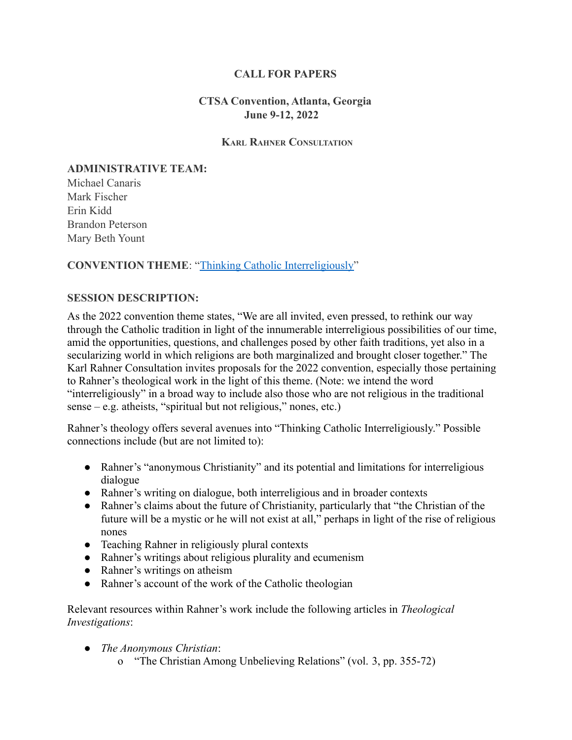### **CALL FOR PAPERS**

### **CTSA Convention, Atlanta, Georgia June 9-12, 2022**

#### **KARL RAHNER CONSULTATION**

# **ADMINISTRATIVE TEAM:**

Michael Canaris Mark Fischer Erin Kidd Brandon Peterson Mary Beth Yount

### **CONVENTION THEME**: "[Thinking Catholic Interreligiously"](https://ctsa-online.org/resources/Convention%202022/CTSA%202022%20Theme.pdf)

### **SESSION DESCRIPTION:**

As the 2022 convention theme states, "We are all invited, even pressed, to rethink our way through the Catholic tradition in light of the innumerable interreligious possibilities of our time, amid the opportunities, questions, and challenges posed by other faith traditions, yet also in a secularizing world in which religions are both marginalized and brought closer together." The Karl Rahner Consultation invites proposals for the 2022 convention, especially those pertaining to Rahner's theological work in the light of this theme. (Note: we intend the word "interreligiously" in a broad way to include also those who are not religious in the traditional sense – e.g. atheists, "spiritual but not religious," nones, etc.)

Rahner's theology offers several avenues into "Thinking Catholic Interreligiously." Possible connections include (but are not limited to):

- Rahner's "anonymous Christianity" and its potential and limitations for interreligious dialogue
- Rahner's writing on dialogue, both interreligious and in broader contexts
- Rahner's claims about the future of Christianity, particularly that "the Christian of the future will be a mystic or he will not exist at all," perhaps in light of the rise of religious nones
- Teaching Rahner in religiously plural contexts
- Rahner's writings about religious plurality and ecumenism
- Rahner's writings on atheism
- Rahner's account of the work of the Catholic theologian

Relevant resources within Rahner's work include the following articles in *Theological Investigations*:

- *The Anonymous Christian*:
	- o "The Christian Among Unbelieving Relations" (vol. 3, pp. 355-72)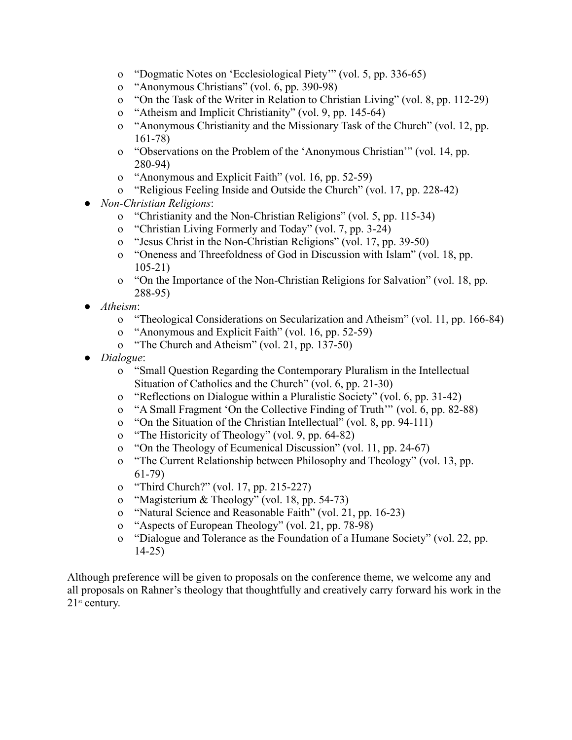- o "Dogmatic Notes on 'Ecclesiological Piety'" (vol. 5, pp. 336-65)
- o "Anonymous Christians" (vol. 6, pp. 390-98)
- o "On the Task of the Writer in Relation to Christian Living" (vol. 8, pp. 112-29)
- o "Atheism and Implicit Christianity" (vol. 9, pp. 145-64)
- o "Anonymous Christianity and the Missionary Task of the Church" (vol. 12, pp. 161-78)
- o "Observations on the Problem of the 'Anonymous Christian'" (vol. 14, pp. 280-94)
- o "Anonymous and Explicit Faith" (vol. 16, pp. 52-59)
- o "Religious Feeling Inside and Outside the Church" (vol. 17, pp. 228-42)
- *Non-Christian Religions*:
	- o "Christianity and the Non-Christian Religions" (vol. 5, pp. 115-34)
	- o "Christian Living Formerly and Today" (vol. 7, pp. 3-24)
	- o "Jesus Christ in the Non-Christian Religions" (vol. 17, pp. 39-50)
	- o "Oneness and Threefoldness of God in Discussion with Islam" (vol. 18, pp. 105-21)
	- o "On the Importance of the Non-Christian Religions for Salvation" (vol. 18, pp. 288-95)
- *Atheism*:
	- o "Theological Considerations on Secularization and Atheism" (vol. 11, pp. 166-84)
	- o "Anonymous and Explicit Faith" (vol. 16, pp. 52-59)
	- o "The Church and Atheism" (vol. 21, pp. 137-50)
- *Dialogue*:
	- o "Small Question Regarding the Contemporary Pluralism in the Intellectual Situation of Catholics and the Church" (vol. 6, pp. 21-30)
	- o "Reflections on Dialogue within a Pluralistic Society" (vol. 6, pp. 31-42)
	- o "A Small Fragment 'On the Collective Finding of Truth'" (vol. 6, pp. 82-88)
	- o "On the Situation of the Christian Intellectual" (vol. 8, pp. 94-111)
	- o "The Historicity of Theology" (vol. 9, pp. 64-82)
	- o "On the Theology of Ecumenical Discussion" (vol. 11, pp. 24-67)
	- o "The Current Relationship between Philosophy and Theology" (vol. 13, pp. 61-79)
	- o "Third Church?" (vol. 17, pp. 215-227)
	- o "Magisterium & Theology" (vol. 18, pp. 54-73)
	- o "Natural Science and Reasonable Faith" (vol. 21, pp. 16-23)
	- o "Aspects of European Theology" (vol. 21, pp. 78-98)
	- o "Dialogue and Tolerance as the Foundation of a Humane Society" (vol. 22, pp. 14-25)

Although preference will be given to proposals on the conference theme, we welcome any and all proposals on Rahner's theology that thoughtfully and creatively carry forward his work in the  $21<sup>st</sup>$  century.